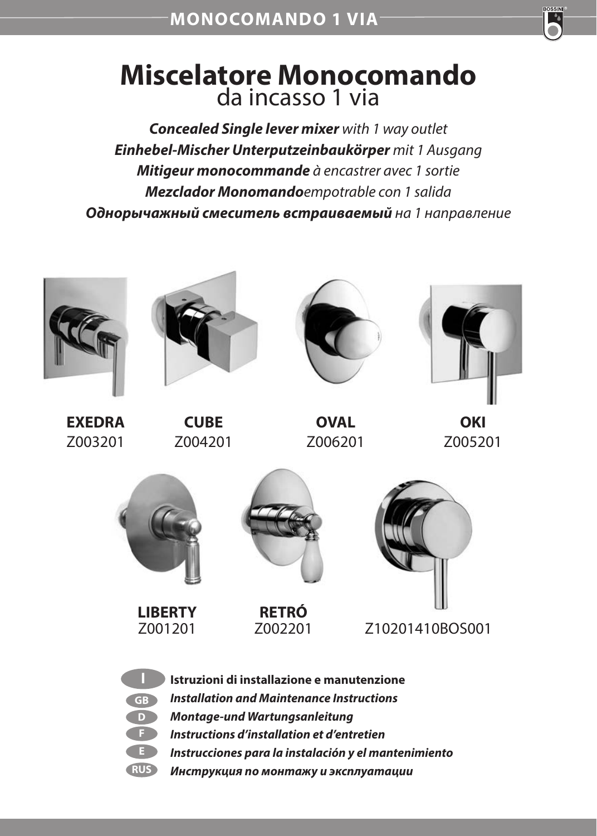

## **Miscelatore Monocomando**  da incasso 1 via

*Concealed Single lever mixer with 1 way outlet Einhebel-Mischer Unterputzeinbaukörper mit 1 Ausgang Mitigeur monocommande à encastrer avec 1 sortie Mezclador Monomandoempotrable con 1 salida Однорычажный смеситель встраиваемый на 1 направление*

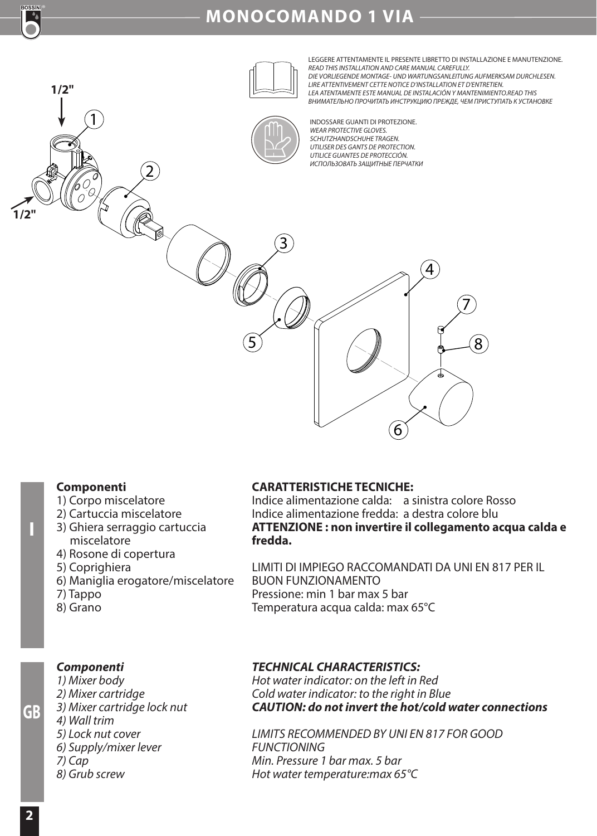

## **MONOCOMANDO 1 VIA**



#### **Componenti**

- 1) Corpo miscelatore
- 2) Cartuccia miscelatore
- 3) Ghiera serraggio cartuccia miscelatore
- 4) Rosone di copertura
- 5) Coprighiera
- 6) Maniglia erogatore/miscelatore
- 7) Tappo
- 8) Grano

#### **CARATTERISTICHE TECNICHE:**

Indice alimentazione calda: a sinistra colore Rosso Indice alimentazione fredda: a destra colore blu **ATTENZIONE : non invertire il collegamento acqua calda e fredda.**

LIMITI DI IMPIEGO RACCOMANDATI DA UNI EN 817 PER IL BUON FUNZIONAMENTO Pressione: min 1 bar max 5 bar Temperatura acqua calda: max 65°C

#### *Componenti*

- *1) Mixer body 2) Mixer cartridge 3) Mixer cartridge lock nut 4) Wall trim 5) Lock nut cover 6) Supply/mixer lever 7) Cap*
- *8) Grub screw*

#### *TECHNICAL CHARACTERISTICS:*

*Hot water indicator: on the left in Red Cold water indicator: to the right in Blue CAUTION: do not invert the hot/cold water connections*

*LIMITS RECOMMENDED BY UNI EN 817 FOR GOOD FUNCTIONING Min. Pressure 1 bar max. 5 bar Hot water temperature:max 65°C*

**GB**

**I**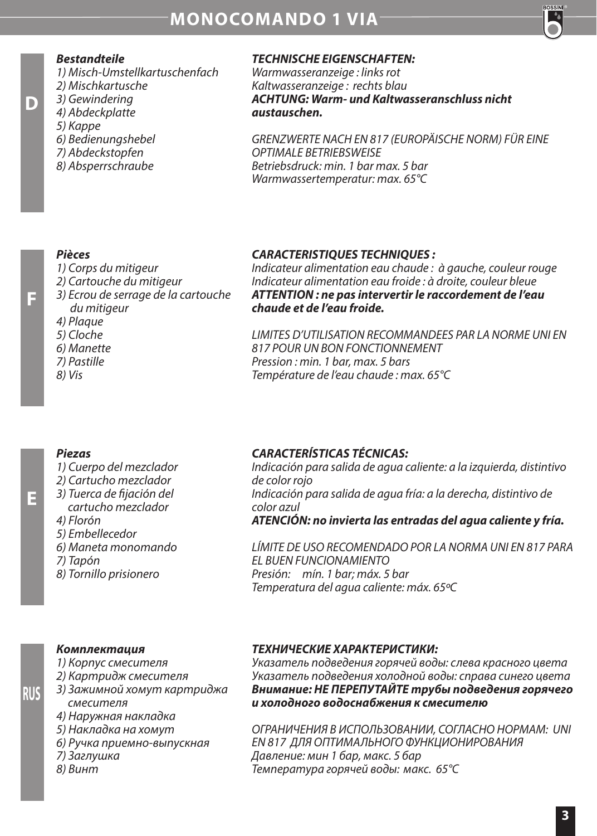

#### *Bestandteile*

*1) Misch-Umstellkartuschenfach*

- *2) Mischkartusche*
- *3) Gewindering 4) Abdeckplatte*
- 

**D**

**F**

**E**

**RUS**

- *5) Kappe 6) Bedienungshebel*
- *7) Abdeckstopfen*
- *8) Absperrschraube*
- 

#### *TECHNISCHE EIGENSCHAFTEN:*

*Warmwasseranzeige : links rot Kaltwasseranzeige : rechts blau ACHTUNG: Warm- und Kaltwasseranschluss nicht austauschen.* 

*GRENZWERTE NACH EN 817 (EUROPÄISCHE NORM) FÜR EINE OPTIMALE BETRIEBSWEISE Betriebsdruck: min. 1 bar max. 5 bar Warmwassertemperatur: max. 65°C*

#### *Pièces*

- *1) Corps du mitigeur*
- *2) Cartouche du mitigeur*
- *3) Ecrou de serrage de la cartouche du mitigeur*
- *4) Plaque*
- *5) Cloche*
- *6) Manette*
- *7) Pastille*
- *8) Vis*

#### *CARACTERISTIQUES TECHNIQUES :*

*Indicateur alimentation eau chaude : à gauche, couleur rouge Indicateur alimentation eau froide : à droite, couleur bleue ATTENTION : ne pas intervertir le raccordement de l'eau chaude et de l'eau froide.*

*LIMITES D'UTILISATION RECOMMANDEES PAR LA NORME UNI EN 817 POUR UN BON FONCTIONNEMENT Pression : min. 1 bar, max. 5 bars Température de l'eau chaude : max. 65°C*

#### *Piezas*

- *1) Cuerpo del mezclador*
- *2) Cartucho mezclador*
- *3) Tuerca de jación del cartucho mezclador*
- *4) Florón*
- *5) Embellecedor*
- *6) Maneta monomando*
- *7) Tapón*
- *8) Tornillo prisionero*

#### *CARACTERÍSTICAS TÉCNICAS:*

*Indicación para salida de agua caliente: a la izquierda, distintivo de color rojo Indicación para salida de agua fría: a la derecha, distintivo de color azul ATENCIÓN: no invierta las entradas del agua caliente y fría.*

*LÍMITE DE USO RECOMENDADO POR LA NORMA UNI EN 817 PARA EL BUEN FUNCIONAMIENTO Presión: mín. 1 bar; máx. 5 bar Temperatura del agua caliente: máx. 65ºC*

#### *Комплектация*

- *1) Корпус смесителя*
- *2) Картридж смесителя*
- *3) Зажимной хомут картриджа смесителя*
- *4) Наружная накладка*
- *5) Накладка на хомут*
- *6) Ручка приемно-выпускная*
- *7) Заглушка*
- *8) Винт*

#### *ТЕХНИЧЕСКИЕ ХАРАКТЕРИСТИКИ:*

*Указатель подведения горячей воды: слева красного цвета Указатель подведения холодной воды: справа синего цвета Внимание: НЕ ПЕРЕПУТАЙТЕ трубы подведения горячего и холодного водоснабжения к смесителю* 

*ОГРАНИЧЕНИЯ В ИСПОЛЬЗОВАНИИ, СОГЛАСНО НОРМАМ: UNI EN 817 ДЛЯ ОПТИМАЛЬНОГО ФУНКЦИОНИРОВАНИЯ Давление: мин 1 бар, макс. 5 бар Температура горячей воды: макс. 65°C*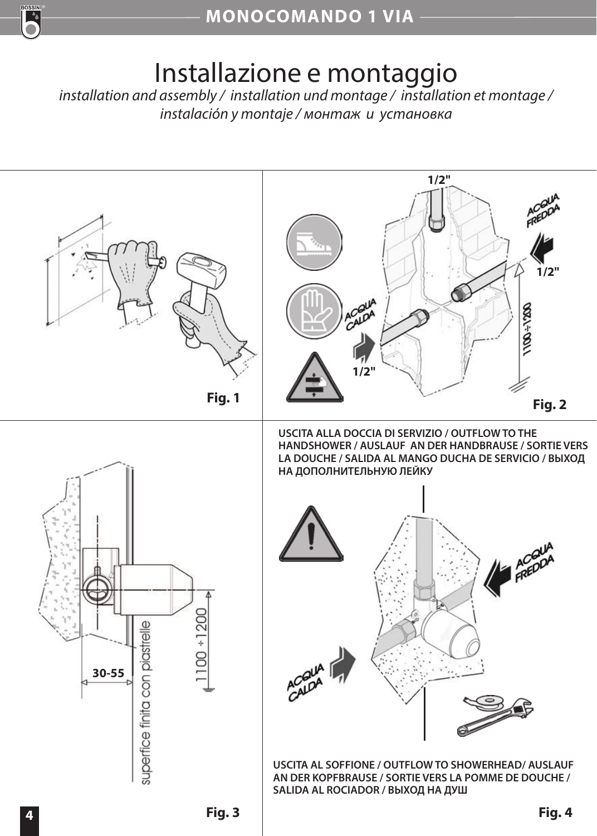

# Installazione e montaggio

*installation and assembly / installation und montage / installation et montage / instalación y montaje / монтаж и установка*

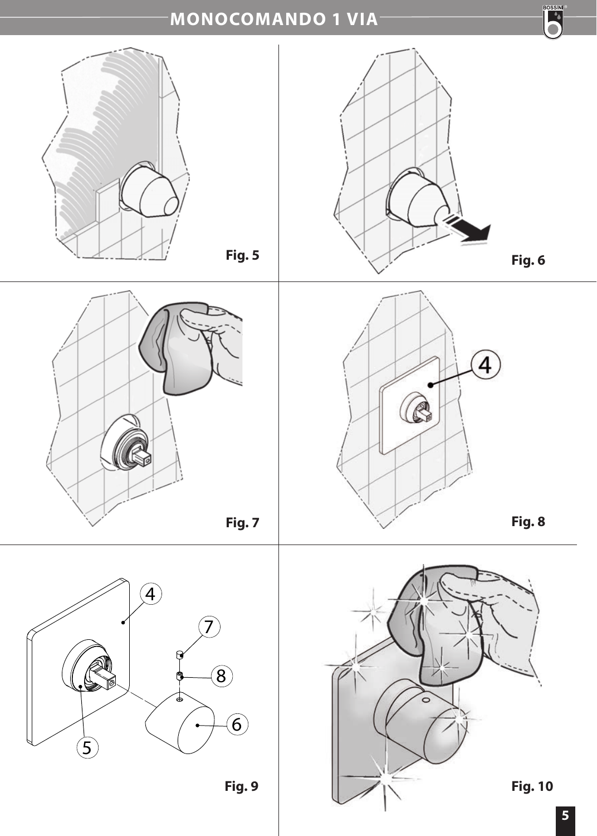## **MONOCOMANDO 1 VIA**



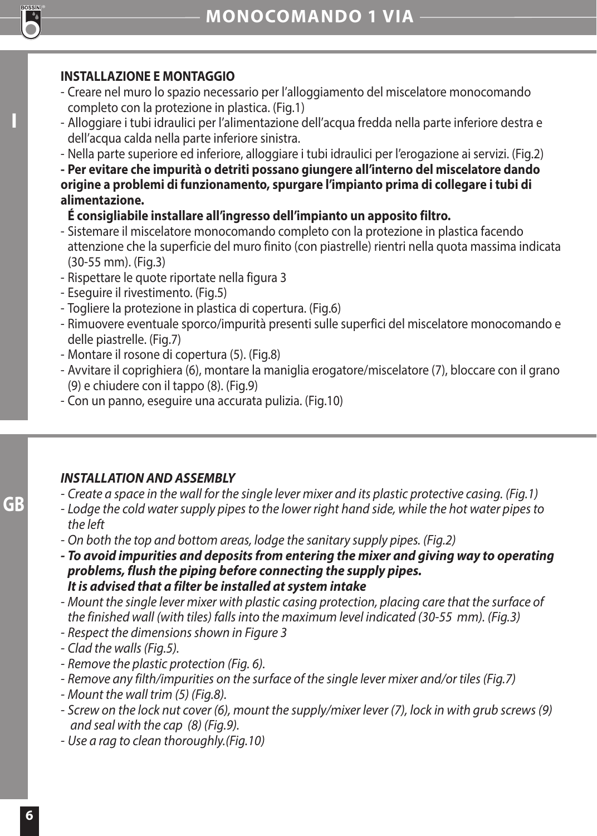

**I**

## **INSTALLAZIONE E MONTAGGIO**

- Creare nel muro lo spazio necessario per l'alloggiamento del miscelatore monocomando completo con la protezione in plastica. (Fig.1)
- Alloggiare i tubi idraulici per l'alimentazione dell'acqua fredda nella parte inferiore destra e dell'acqua calda nella parte inferiore sinistra.
- Nella parte superiore ed inferiore, alloggiare i tubi idraulici per l'erogazione ai servizi. (Fig.2)

**- Per evitare che impurità o detriti possano giungere all'interno del miscelatore dando origine a problemi di funzionamento, spurgare l'impianto prima di collegare i tubi di alimentazione.** 

## **É consigliabile installare all'ingresso dell'impianto un apposito filtro.**

- Sistemare il miscelatore monocomando completo con la protezione in plastica facendo attenzione che la superficie del muro finito (con piastrelle) rientri nella quota massima indicata (30-55 mm). (Fig.3)
- Rispettare le quote riportate nella figura 3
- Eseguire il rivestimento. (Fig.5)
- Togliere la protezione in plastica di copertura. (Fig.6)
- Rimuovere eventuale sporco/impurità presenti sulle superfici del miscelatore monocomando e delle piastrelle. (Fig.7)
- Montare il rosone di copertura (5). (Fig.8)
- Avvitare il coprighiera (6), montare la maniglia erogatore/miscelatore (7), bloccare con il grano (9) e chiudere con il tappo (8). (Fig.9)
- Con un panno, eseguire una accurata pulizia. (Fig.10)

## *INSTALLATION AND ASSEMBLY*

- *Create a space in the wall for the single lever mixer and its plastic protective casing. (Fig.1)*
- *Lodge the cold water supply pipes to the lower right hand side, while the hot water pipes to the left*
- *On both the top and bottom areas, lodge the sanitary supply pipes. (Fig.2)*
- *To avoid impurities and deposits from entering the mixer and giving way to operating problems, flush the piping before connecting the supply pipes. It is advised that a filter be installed at system intake*
- *Mount the single lever mixer with plastic casing protection, placing care that the surface of the finished wall (with tiles) falls into the maximum level indicated (30-55 mm). (Fig.3)*
- *Respect the dimensions shown in Figure 3*
- *Clad the walls (Fig.5).*
- *Remove the plastic protection (Fig. 6).*
- *Remove any filth/impurities on the surface of the single lever mixer and/or tiles (Fig.7)*
- *Mount the wall trim (5) (Fig.8).*
- *Screw on the lock nut cover (6), mount the supply/mixer lever (7), lock in with grub screws (9) and seal with the cap (8) (Fig.9).*
- *Use a rag to clean thoroughly.(Fig.10)*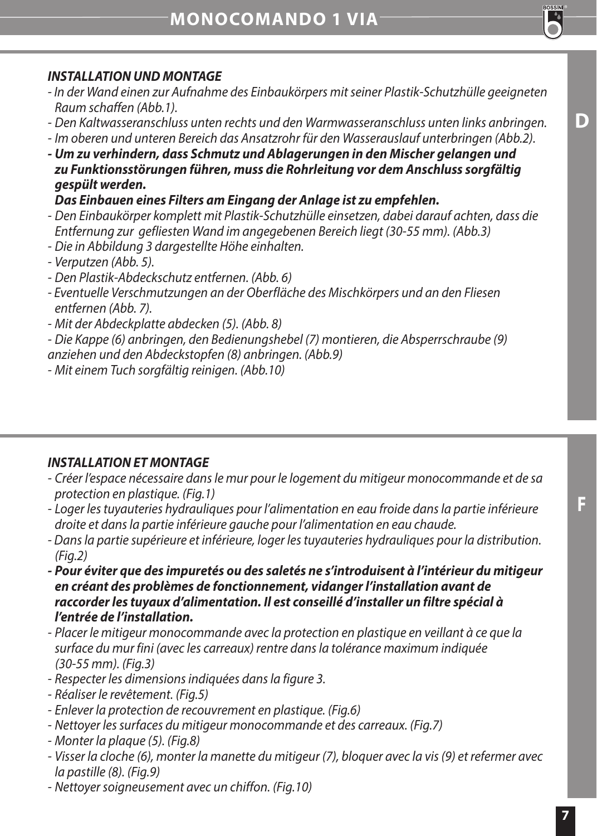## *INSTALLATION UND MONTAGE*

- *In der Wand einen zur Aufnahme des Einbaukörpers mit seiner Plastik-Schutzhülle geeigneten Raum schaffen (Abb.1).*
- *Den Kaltwasseranschluss unten rechts und den Warmwasseranschluss unten links anbringen.*
- *Im oberen und unteren Bereich das Ansatzrohr für den Wasserauslauf unterbringen (Abb.2).*
- *Um zu verhindern, dass Schmutz und Ablagerungen in den Mischer gelangen und zu Funktionsstörungen führen, muss die Rohrleitung vor dem Anschluss sorgfältig gespült werden.*

 *Das Einbauen eines Filters am Eingang der Anlage ist zu empfehlen.* 

- *Den Einbaukörper komplett mit Plastik-Schutzhülle einsetzen, dabei darauf achten, dass die Entfernung zur gefliesten Wand im angegebenen Bereich liegt (30-55 mm). (Abb.3)*
- *Die in Abbildung 3 dargestellte Höhe einhalten.*
- *Verputzen (Abb. 5).*
- *Den Plastik-Abdeckschutz entfernen. (Abb. 6)*
- *Eventuelle Verschmutzungen an der Oberfläche des Mischkörpers und an den Fliesen entfernen (Abb. 7).*
- *Mit der Abdeckplatte abdecken (5). (Abb. 8)*

*- Die Kappe (6) anbringen, den Bedienungshebel (7) montieren, die Absperrschraube (9) anziehen und den Abdeckstopfen (8) anbringen. (Abb.9)*

*- Mit einem Tuch sorgfältig reinigen. (Abb.10)*

#### *INSTALLATION ET MONTAGE*

- *Créer l'espace nécessaire dans le mur pour le logement du mitigeur monocommande et de sa protection en plastique. (Fig.1)*
- *Loger les tuyauteries hydrauliques pour l'alimentation en eau froide dans la partie inférieure droite et dans la partie inférieure gauche pour l'alimentation en eau chaude.*
- *Dans la partie supérieure et inférieure, loger les tuyauteries hydrauliques pour la distribution. (Fig.2)*
- *Pour éviter que des impuretés ou des saletés ne s'introduisent à l'intérieur du mitigeur en créant des problèmes de fonctionnement, vidanger l'installation avant de raccorder les tuyaux d'alimentation. Il est conseillé d'installer un filtre spécial à l'entrée de l'installation.*
- *Placer le mitigeur monocommande avec la protection en plastique en veillant à ce que la surface du mur fini (avec les carreaux) rentre dans la tolérance maximum indiquée (30-55 mm). (Fig.3)*
- *Respecter les dimensions indiquées dans la figure 3.*
- *Réaliser le revêtement. (Fig.5)*
- *Enlever la protection de recouvrement en plastique. (Fig.6)*
- *Nettoyer les surfaces du mitigeur monocommande et des carreaux. (Fig.7)*
- *Monter la plaque (5). (Fig.8)*
- *Visser la cloche (6), monter la manette du mitigeur (7), bloquer avec la vis (9) et refermer avec la pastille (8). (Fig.9)*
- *Nettoyer soigneusement avec un chiffon. (Fig.10)*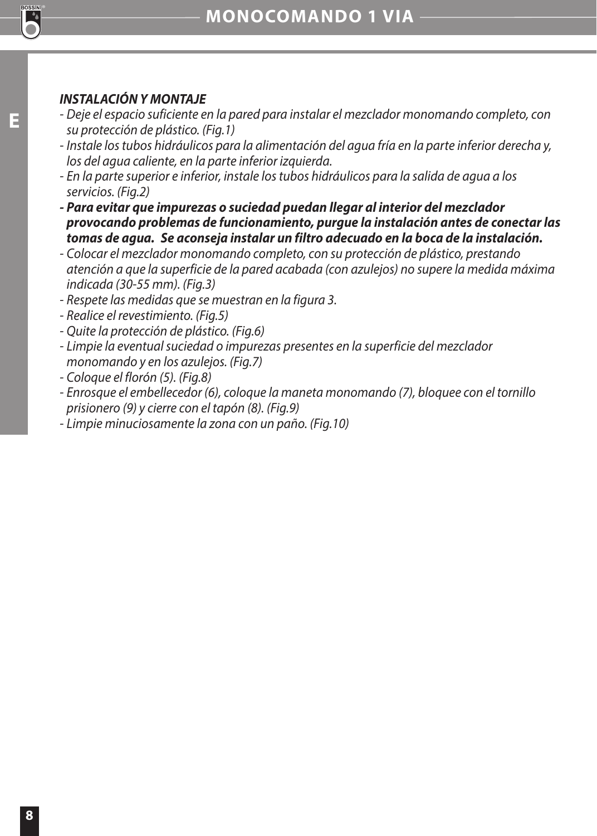

## **E**

- *INSTALACIÓN Y MONTAJE - Deje el espacio suficiente en la pared para instalar el mezclador monomando completo, con su protección de plástico. (Fig.1)*
- *Instale los tubos hidráulicos para la alimentación del agua fría en la parte inferior derecha y, los del agua caliente, en la parte inferior izquierda.*
- *En la parte superior e inferior, instale los tubos hidráulicos para la salida de agua a los servicios. (Fig.2)*
- *Para evitar que impurezas o suciedad puedan llegar al interior del mezclador provocando problemas de funcionamiento, purgue la instalación antes de conectar las tomas de agua. Se aconseja instalar un filtro adecuado en la boca de la instalación.*
- *Colocar el mezclador monomando completo, con su protección de plástico, prestando atención a que la superficie de la pared acabada (con azulejos) no supere la medida máxima indicada (30-55 mm). (Fig.3)*
- *Respete las medidas que se muestran en la figura 3.*
- *Realice el revestimiento. (Fig.5)*
- *Quite la protección de plástico. (Fig.6)*
- *Limpie la eventual suciedad o impurezas presentes en la superficie del mezclador monomando y en los azulejos. (Fig.7)*
- *Coloque el florón (5). (Fig.8)*
- *Enrosque el embellecedor (6), coloque la maneta monomando (7), bloquee con el tornillo prisionero (9) y cierre con el tapón (8). (Fig.9)*
- *Limpie minuciosamente la zona con un paño. (Fig.10)*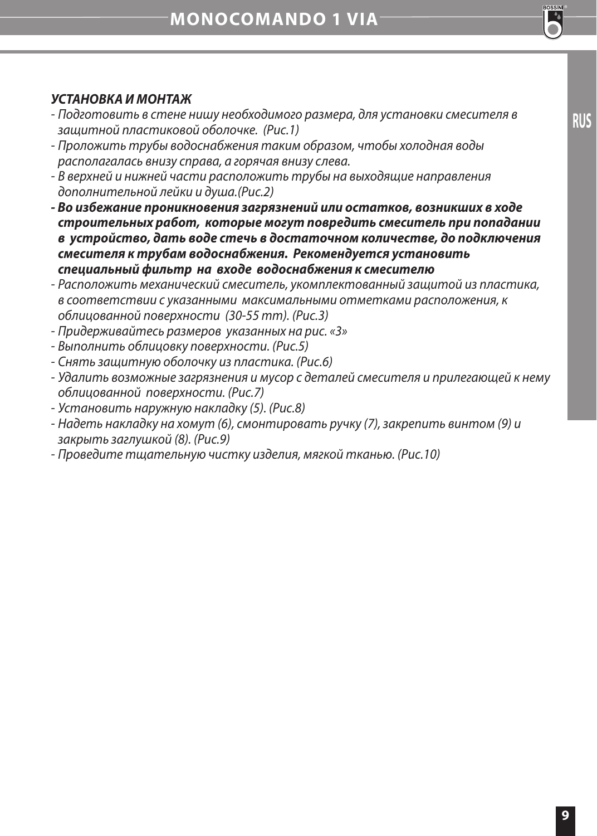## *УСТАНОВКА И МОНТАЖ*

- *Подготовить в стене нишу необходимого размера, для установки смесителя в защитной пластиковой оболочке. (Рис.1)*
- *Проложить трубы водоснабжения таким образом, чтобы холодная воды располагалась внизу справа, а горячая внизу слева.*
- *В верхней и нижней части расположить трубы на выходящие направления дополнительной лейки и душа.(Рис.2)*
- *Во избежание проникновения загрязнений или остатков, возникших в ходе строительных работ, которые могут повредить смеситель при попадании в устройство, дать воде стечь в достаточном количестве, до подключения смесителя к трубам водоснабжения. Рекомендуется установить специальный фильтр на входе водоснабжения к смесителю*
- *Расположить механический смеситель, укомплектованный защитой из пластика, в соответствии с указанными максимальными отметками расположения, к облицованной поверхности (30-55 mm). (Рис.3)*
- *Придерживайтесь размеров указанных на рис. «3»*
- *Выполнить облицовку поверхности. (Рис.5)*
- *Снять защитную оболочку из пластика. (Рис.6)*
- *Удалить возможные загрязнения и мусор с деталей смесителя и прилегающей к нему облицованной поверхности. (Рис.7)*
- *Установить наружную накладку (5). (Рис.8)*
- *Надеть накладку на хомут (6), смонтировать ручку (7), закрепить винтом (9) и закрыть заглушкой (8). (Рис.9)*
- *Проведите тщательную чистку изделия, мягкой тканью. (Рис.10)*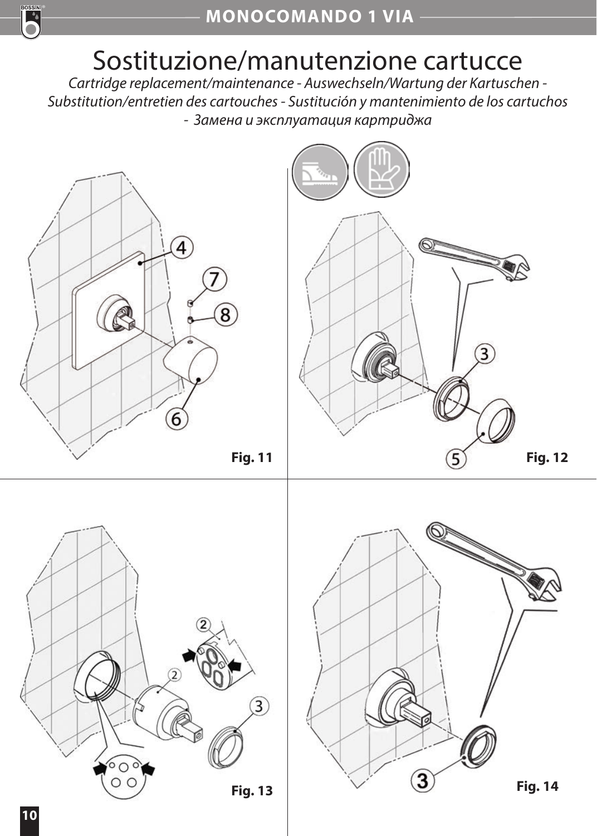

# Sostituzione/manutenzione cartucce

*Cartridge replacement/maintenance - Auswechseln/Wartung der Kartuschen - Substitution/entretien des cartouches - Sustitución y mantenimiento de los cartuchos - Замена и эксплуатация картриджа*

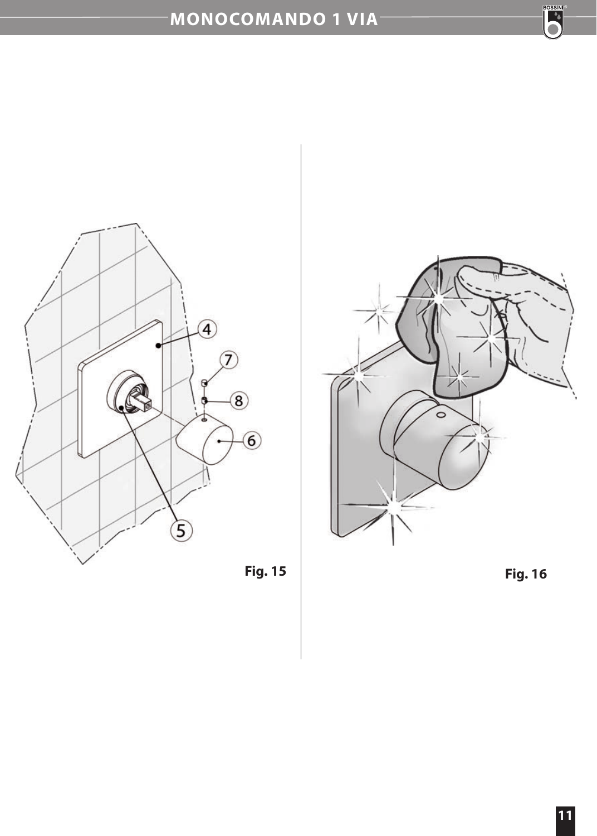## **MONOCOMANDO 1 VIA**







**BOSSIN**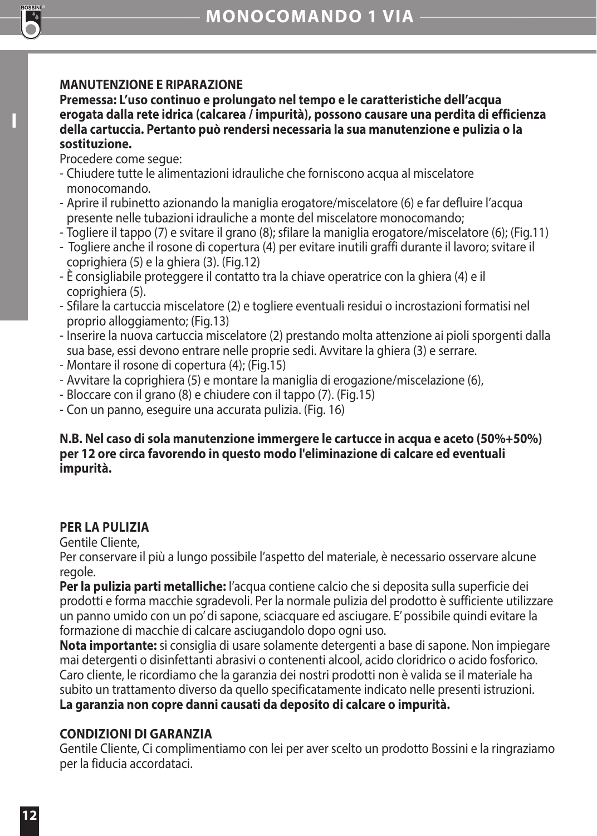## **MANUTENZIONE E RIPARAZIONE**

**Premessa: L'uso continuo e prolungato nel tempo e le caratteristiche dell'acqua erogata dalla rete idrica (calcarea / impurità), possono causare una perdita di efficienza della cartuccia. Pertanto può rendersi necessaria la sua manutenzione e pulizia o la sostituzione.** 

Procedere come segue:

**I**

- Chiudere tutte le alimentazioni idrauliche che forniscono acqua al miscelatore monocomando.
- Aprire il rubinetto azionando la maniglia erogatore/miscelatore (6) e far defluire l'acqua presente nelle tubazioni idrauliche a monte del miscelatore monocomando;
- Togliere il tappo (7) e svitare il grano (8); sfilare la maniglia erogatore/miscelatore (6); (Fig.11)
- Togliere anche il rosone di copertura (4) per evitare inutili graffi durante il lavoro; svitare il coprighiera (5) e la ghiera (3). (Fig.12)
- È consigliabile proteggere il contatto tra la chiave operatrice con la ghiera (4) e il coprighiera (5).
- Sfilare la cartuccia miscelatore (2) e togliere eventuali residui o incrostazioni formatisi nel proprio alloggiamento; (Fig.13)
- Inserire la nuova cartuccia miscelatore (2) prestando molta attenzione ai pioli sporgenti dalla sua base, essi devono entrare nelle proprie sedi. Avvitare la ghiera (3) e serrare.
- Montare il rosone di copertura (4); (Fig.15)
- Avvitare la coprighiera (5) e montare la maniglia di erogazione/miscelazione (6),
- Bloccare con il grano (8) e chiudere con il tappo (7). (Fig.15)
- Con un panno, eseguire una accurata pulizia. (Fig. 16)

#### **N.B. Nel caso di sola manutenzione immergere le cartucce in acqua e aceto (50%+50%) per 12 ore circa favorendo in questo modo l'eliminazione di calcare ed eventuali impurità.**

## **PER LA PULIZIA**

Gentile Cliente,

Per conservare il più a lungo possibile l'aspetto del materiale, è necessario osservare alcune regole.

**Per la pulizia parti metalliche:** l'acqua contiene calcio che si deposita sulla superficie dei prodotti e forma macchie sgradevoli. Per la normale pulizia del prodotto è sufficiente utilizzare un panno umido con un po' di sapone, sciacquare ed asciugare. E' possibile quindi evitare la formazione di macchie di calcare asciugandolo dopo ogni uso.

**Nota importante:** si consiglia di usare solamente detergenti a base di sapone. Non impiegare mai detergenti o disinfettanti abrasivi o contenenti alcool, acido cloridrico o acido fosforico. Caro cliente, le ricordiamo che la garanzia dei nostri prodotti non è valida se il materiale ha subito un trattamento diverso da quello specificatamente indicato nelle presenti istruzioni. **La garanzia non copre danni causati da deposito di calcare o impurità.**

## **CONDIZIONI DI GARANZIA**

Gentile Cliente, Ci complimentiamo con lei per aver scelto un prodotto Bossini e la ringraziamo per la fiducia accordataci.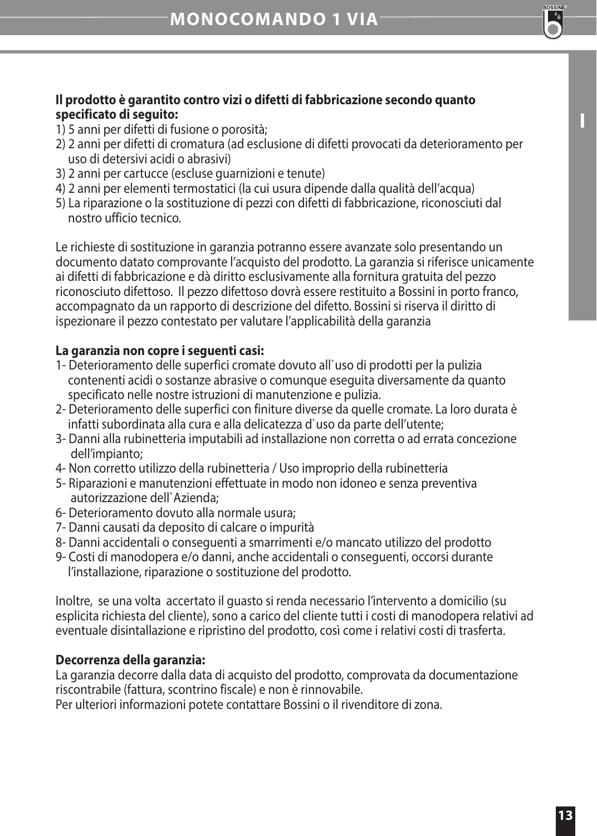

**I**

#### **Il prodotto è garantito contro vizi o difetti di fabbricazione secondo quanto specificato di seguito:**

- 1) 5 anni per difetti di fusione o porosità;
- 2) 2 anni per difetti di cromatura (ad esclusione di difetti provocati da deterioramento per uso di detersivi acidi o abrasivi)
- 3) 2 anni per cartucce (escluse guarnizioni e tenute)
- 4) 2 anni per elementi termostatici (la cui usura dipende dalla qualità dell'acqua)
- 5) La riparazione o la sostituzione di pezzi con difetti di fabbricazione, riconosciuti dal nostro ufficio tecnico.

Le richieste di sostituzione in garanzia potranno essere avanzate solo presentando un documento datato comprovante l'acquisto del prodotto. La garanzia si riferisce unicamente ai difetti di fabbricazione e dà diritto esclusivamente alla fornitura gratuita del pezzo riconosciuto difettoso. Il pezzo difettoso dovrà essere restituito a Bossini in porto franco, accompagnato da un rapporto di descrizione del difetto. Bossini si riserva il diritto di ispezionare il pezzo contestato per valutare l'applicabilità della garanzia

## **La garanzia non copre i seguenti casi:**

- 1- Deterioramento delle superfici cromate dovuto all`uso di prodotti per la pulizia contenenti acidi o sostanze abrasive o comunque eseguita diversamente da quanto specificato nelle nostre istruzioni di manutenzione e pulizia.
- 2- Deterioramento delle superfici con finiture diverse da quelle cromate. La loro durata è infatti subordinata alla cura e alla delicatezza d`uso da parte dell'utente;
- 3- Danni alla rubinetteria imputabili ad installazione non corretta o ad errata concezione dell'impianto;
- 4- Non corretto utilizzo della rubinetteria / Uso improprio della rubinetteria
- 5- Riparazioni e manutenzioni effettuate in modo non idoneo e senza preventiva autorizzazione dell`Azienda;
- 6- Deterioramento dovuto alla normale usura;
- 7- Danni causati da deposito di calcare o impurità
- 8- Danni accidentali o conseguenti a smarrimenti e/o mancato utilizzo del prodotto
- 9- Costi di manodopera e/o danni, anche accidentali o conseguenti, occorsi durante l'installazione, riparazione o sostituzione del prodotto.

Inoltre, se una volta accertato il guasto si renda necessario l'intervento a domicilio (su esplicita richiesta del cliente), sono a carico del cliente tutti i costi di manodopera relativi ad eventuale disintallazione e ripristino del prodotto, così come i relativi costi di trasferta.

## **Decorrenza della garanzia:**

La garanzia decorre dalla data di acquisto del prodotto, comprovata da documentazione riscontrabile (fattura, scontrino fiscale) e non è rinnovabile.

Per ulteriori informazioni potete contattare Bossini o il rivenditore di zona.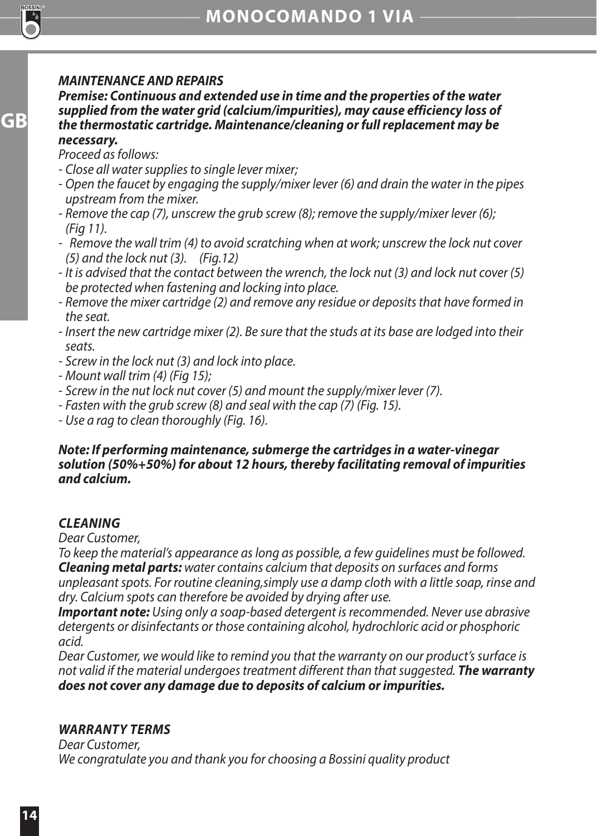## *MAINTENANCE AND REPAIRS*

*Premise: Continuous and extended use in time and the properties of the water supplied from the water grid (calcium/impurities), may cause efficiency loss of the thermostatic cartridge. Maintenance/cleaning or full replacement may be necessary.* 

*Proceed as follows:*

- *Close all water supplies to single lever mixer;*
- *Open the faucet by engaging the supply/mixer lever (6) and drain the water in the pipes upstream from the mixer.*
- *Remove the cap (7), unscrew the grub screw (8); remove the supply/mixer lever (6); (Fig 11).*
- *Remove the wall trim (4) to avoid scratching when at work; unscrew the lock nut cover (5) and the lock nut (3). (Fig.12)*
- *It is advised that the contact between the wrench, the lock nut (3) and lock nut cover (5) be protected when fastening and locking into place.*
- *Remove the mixer cartridge (2) and remove any residue or deposits that have formed in the seat.*
- *Insert the new cartridge mixer (2). Be sure that the studs at its base are lodged into their seats.*
- *Screw in the lock nut (3) and lock into place.*
- *Mount wall trim (4) (Fig 15);*
- *Screw in the nut lock nut cover (5) and mount the supply/mixer lever (7).*
- *Fasten with the grub screw (8) and seal with the cap (7) (Fig. 15).*
- *Use a rag to clean thoroughly (Fig. 16).*

#### *Note: If performing maintenance, submerge the cartridges in a water-vinegar solution (50%+50%) for about 12 hours, thereby facilitating removal of impurities and calcium.*

#### *CLEANING*

*Dear Customer,*

*To keep the material's appearance as long as possible, a few guidelines must be followed. Cleaning metal parts: water contains calcium that deposits on surfaces and forms unpleasant spots. For routine cleaning,simply use a damp cloth with a little soap, rinse and dry. Calcium spots can therefore be avoided by drying after use.*

*Important note: Using only a soap-based detergent is recommended. Never use abrasive detergents or disinfectants or those containing alcohol, hydrochloric acid or phosphoric acid.*

*Dear Customer, we would like to remind you that the warranty on our product's surface is not valid if the material undergoes treatment different than that suggested. The warranty does not cover any damage due to deposits of calcium or impurities.*

#### *WARRANTY TERMS*

*Dear Customer, We congratulate you and thank you for choosing a Bossini quality product*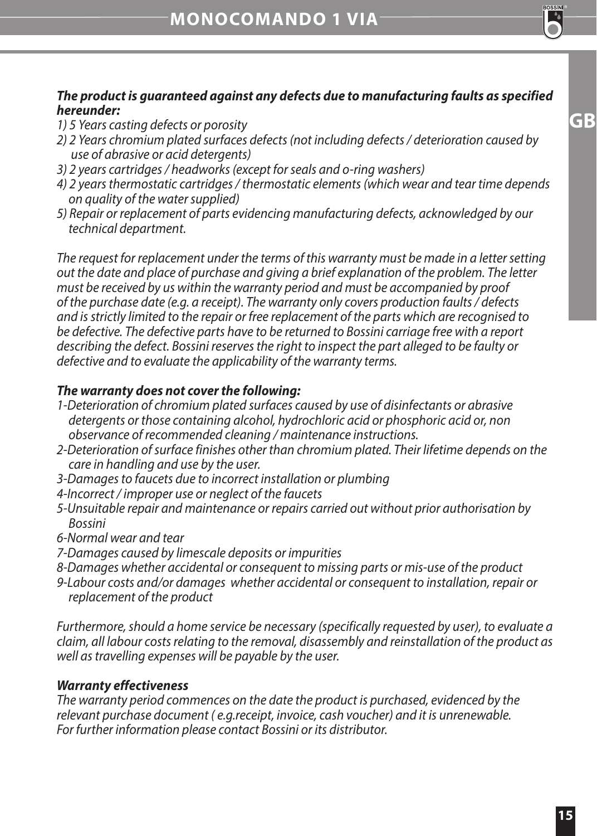**GB**

## *The product is guaranteed against any defects due to manufacturing faults as specified hereunder:*

- *1) 5 Years casting defects or porosity*
- *2) 2 Years chromium plated surfaces defects (not including defects / deterioration caused by use of abrasive or acid detergents)*
- *3) 2 years cartridges / headworks (except for seals and o-ring washers)*
- *4) 2 years thermostatic cartridges / thermostatic elements (which wear and tear time depends on quality of the water supplied)*
- *5) Repair or replacement of parts evidencing manufacturing defects, acknowledged by our technical department.*

*The request for replacement under the terms of this warranty must be made in a letter setting out the date and place of purchase and giving a brief explanation of the problem. The letter must be received by us within the warranty period and must be accompanied by proof of the purchase date (e.g. a receipt). The warranty only covers production faults / defects and is strictly limited to the repair or free replacement of the parts which are recognised to be defective. The defective parts have to be returned to Bossini carriage free with a report describing the defect. Bossini reserves the right to inspect the part alleged to be faulty or defective and to evaluate the applicability of the warranty terms.*

## *The warranty does not cover the following:*

- *1-Deterioration of chromium plated surfaces caused by use of disinfectants or abrasive detergents or those containing alcohol, hydrochloric acid or phosphoric acid or, non observance of recommended cleaning / maintenance instructions.*
- *2-Deterioration of surface finishes other than chromium plated. Their lifetime depends on the care in handling and use by the user.*
- *3-Damages to faucets due to incorrect installation or plumbing*
- *4-Incorrect / improper use or neglect of the faucets*
- *5-Unsuitable repair and maintenance or repairs carried out without prior authorisation by Bossini*
- *6-Normal wear and tear*
- *7-Damages caused by limescale deposits or impurities*
- *8-Damages whether accidental or consequent to missing parts or mis-use of the product*
- *9-Labour costs and/or damages whether accidental or consequent to installation, repair or replacement of the product*

*Furthermore, should a home service be necessary (specifically requested by user), to evaluate a claim, all labour costs relating to the removal, disassembly and reinstallation of the product as well as travelling expenses will be payable by the user.*

## *Warranty effectiveness*

*The warranty period commences on the date the product is purchased, evidenced by the relevant purchase document ( e.g.receipt, invoice, cash voucher) and it is unrenewable. For further information please contact Bossini or its distributor.*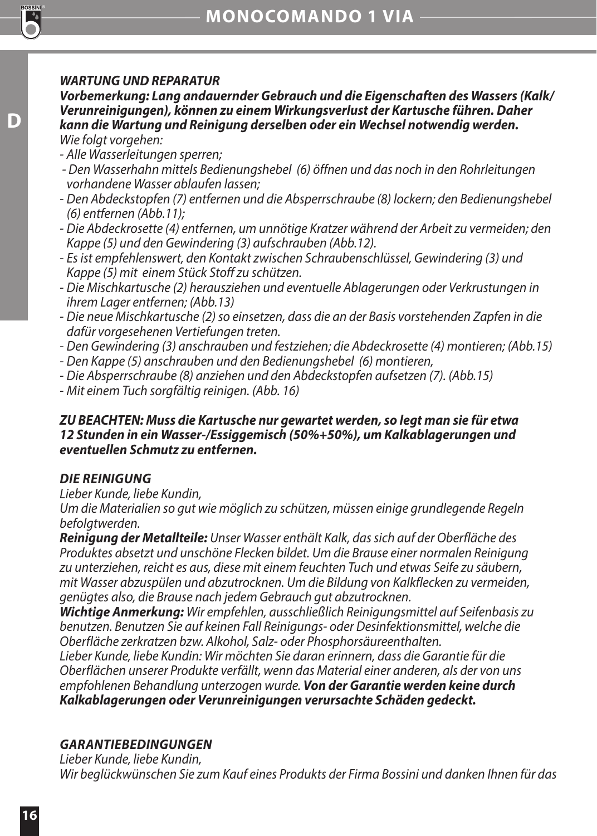#### *WARTUNG UND REPARATUR*

*Vorbemerkung: Lang andauernder Gebrauch und die Eigenschaften des Wassers (Kalk/ Verunreinigungen), können zu einem Wirkungsverlust der Kartusche führen. Daher kann die Wartung und Reinigung derselben oder ein Wechsel notwendig werden. Wie folgt vorgehen:*

*- Alle Wasserleitungen sperren;*

**D**

- *Den Wasserhahn mittels Bedienungshebel (6) öffnen und das noch in den Rohrleitungen vorhandene Wasser ablaufen lassen;*
- *Den Abdeckstopfen (7) entfernen und die Absperrschraube (8) lockern; den Bedienungshebel (6) entfernen (Abb.11);*
- *Die Abdeckrosette (4) entfernen, um unnötige Kratzer während der Arbeit zu vermeiden; den Kappe (5) und den Gewindering (3) aufschrauben (Abb.12).*
- *Es ist empfehlenswert, den Kontakt zwischen Schraubenschlüssel, Gewindering (3) und Kappe (5) mit einem Stück Stoff zu schützen.*
- *Die Mischkartusche (2) herausziehen und eventuelle Ablagerungen oder Verkrustungen in ihrem Lager entfernen; (Abb.13)*
- *Die neue Mischkartusche (2) so einsetzen, dass die an der Basis vorstehenden Zapfen in die dafür vorgesehenen Vertiefungen treten.*
- *Den Gewindering (3) anschrauben und festziehen; die Abdeckrosette (4) montieren; (Abb.15)*
- *Den Kappe (5) anschrauben und den Bedienungshebel (6) montieren,*
- *Die Absperrschraube (8) anziehen und den Abdeckstopfen aufsetzen (7). (Abb.15)*
- *Mit einem Tuch sorgfältig reinigen. (Abb. 16)*

#### *ZU BEACHTEN: Muss die Kartusche nur gewartet werden, so legt man sie für etwa 12 Stunden in ein Wasser-/Essiggemisch (50%+50%), um Kalkablagerungen und eventuellen Schmutz zu entfernen.*

## *DIE REINIGUNG*

*Lieber Kunde, liebe Kundin,*

*Um die Materialien so gut wie möglich zu schützen, müssen einige grundlegende Regeln befolgtwerden.*

*Reinigung der Metallteile: Unser Wasser enthält Kalk, das sich auf der Oberfläche des Produktes absetzt und unschöne Flecken bildet. Um die Brause einer normalen Reinigung zu unterziehen, reicht es aus, diese mit einem feuchten Tuch und etwas Seife zu säubern, mit Wasser abzuspülen und abzutrocknen. Um die Bildung von Kalkflecken zu vermeiden, genügtes also, die Brause nach jedem Gebrauch gut abzutrocknen.*

*Wichtige Anmerkung: Wir empfehlen, ausschließlich Reinigungsmittel auf Seifenbasis zu benutzen. Benutzen Sie auf keinen Fall Reinigungs- oder Desinfektionsmittel, welche die Oberfläche zerkratzen bzw. Alkohol, Salz- oder Phosphorsäureenthalten.*

*Lieber Kunde, liebe Kundin: Wir möchten Sie daran erinnern, dass die Garantie für die Oberflächen unserer Produkte verfällt, wenn das Material einer anderen, als der von uns empfohlenen Behandlung unterzogen wurde. Von der Garantie werden keine durch Kalkablagerungen oder Verunreinigungen verursachte Schäden gedeckt.*

## *GARANTIEBEDINGUNGEN*

*Lieber Kunde, liebe Kundin, Wir beglückwünschen Sie zum Kauf eines Produkts der Firma Bossini und danken Ihnen für das*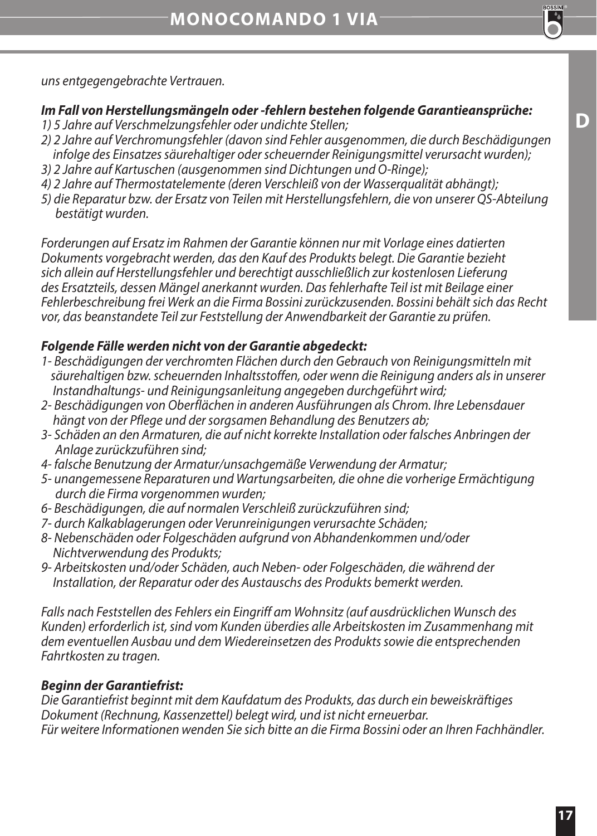*uns entgegengebrachte Vertrauen.*

#### *Im Fall von Herstellungsmängeln oder -fehlern bestehen folgende Garantieansprüche:*

- *1) 5 Jahre auf Verschmelzungsfehler oder undichte Stellen;*
- *2) 2 Jahre auf Verchromungsfehler (davon sind Fehler ausgenommen, die durch Beschädigungen infolge des Einsatzes säurehaltiger oder scheuernder Reinigungsmittel verursacht wurden);*
- *3) 2 Jahre auf Kartuschen (ausgenommen sind Dichtungen und O-Ringe);*
- *4) 2 Jahre auf Thermostatelemente (deren Verschleiß von der Wasserqualität abhängt);*
- *5) die Reparatur bzw. der Ersatz von Teilen mit Herstellungsfehlern, die von unserer QS-Abteilung bestätigt wurden.*

*Forderungen auf Ersatz im Rahmen der Garantie können nur mit Vorlage eines datierten Dokuments vorgebracht werden, das den Kauf des Produkts belegt. Die Garantie bezieht sich allein auf Herstellungsfehler und berechtigt ausschließlich zur kostenlosen Lieferung des Ersatzteils, dessen Mängel anerkannt wurden. Das fehlerhafte Teil ist mit Beilage einer Fehlerbeschreibung frei Werk an die Firma Bossini zurückzusenden. Bossini behält sich das Recht vor, das beanstandete Teil zur Feststellung der Anwendbarkeit der Garantie zu prüfen.*

## *Folgende Fälle werden nicht von der Garantie abgedeckt:*

- *1- Beschädigungen der verchromten Flächen durch den Gebrauch von Reinigungsmitteln mit säurehaltigen bzw. scheuernden Inhaltsstoffen, oder wenn die Reinigung anders als in unserer Instandhaltungs- und Reinigungsanleitung angegeben durchgeführt wird;*
- *2- Beschädigungen von Oberflächen in anderen Ausführungen als Chrom. Ihre Lebensdauer hängt von der Pflege und der sorgsamen Behandlung des Benutzers ab;*
- *3- Schäden an den Armaturen, die auf nicht korrekte Installation oder falsches Anbringen der Anlage zurückzuführen sind;*
- *4- falsche Benutzung der Armatur/unsachgemäße Verwendung der Armatur;*
- *5- unangemessene Reparaturen und Wartungsarbeiten, die ohne die vorherige Ermächtigung durch die Firma vorgenommen wurden;*
- *6- Beschädigungen, die auf normalen Verschleiß zurückzuführen sind;*
- *7- durch Kalkablagerungen oder Verunreinigungen verursachte Schäden;*
- *8- Nebenschäden oder Folgeschäden aufgrund von Abhandenkommen und/oder Nichtverwendung des Produkts;*
- *9- Arbeitskosten und/oder Schäden, auch Neben- oder Folgeschäden, die während der Installation, der Reparatur oder des Austauschs des Produkts bemerkt werden.*

*Falls nach Feststellen des Fehlers ein Eingriff am Wohnsitz (auf ausdrücklichen Wunsch des Kunden) erforderlich ist, sind vom Kunden überdies alle Arbeitskosten im Zusammenhang mit dem eventuellen Ausbau und dem Wiedereinsetzen des Produkts sowie die entsprechenden Fahrtkosten zu tragen.*

## *Beginn der Garantiefrist:*

*Die Garantiefrist beginnt mit dem Kaufdatum des Produkts, das durch ein beweiskräftiges Dokument (Rechnung, Kassenzettel) belegt wird, und ist nicht erneuerbar. Für weitere Informationen wenden Sie sich bitte an die Firma Bossini oder an Ihren Fachhändler.*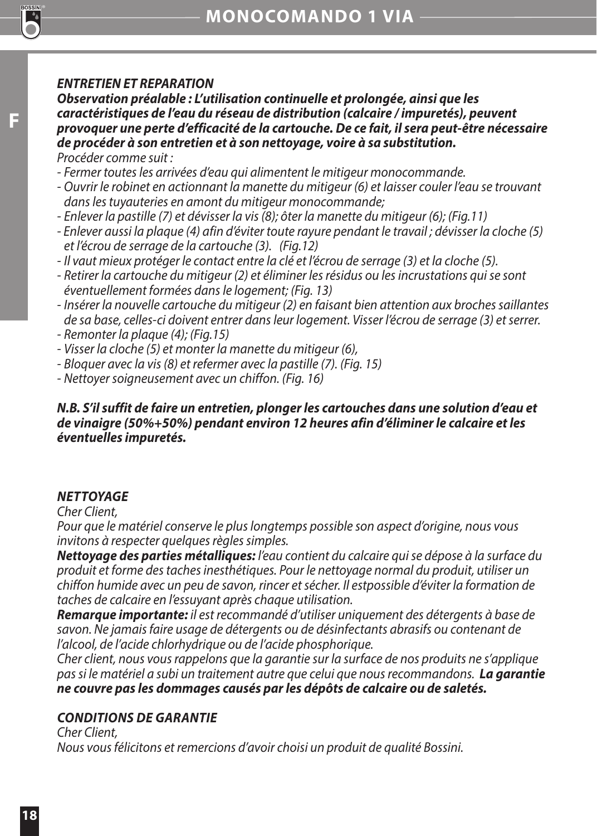#### *ENTRETIEN ET REPARATION*

*Observation préalable : L'utilisation continuelle et prolongée, ainsi que les caractéristiques de l'eau du réseau de distribution (calcaire / impuretés), peuvent provoquer une perte d'efficacité de la cartouche. De ce fait, il sera peut-être nécessaire de procéder à son entretien et à son nettoyage, voire à sa substitution. Procéder comme suit :*

*- Fermer toutes les arrivées d'eau qui alimentent le mitigeur monocommande.* 

- *Ouvrir le robinet en actionnant la manette du mitigeur (6) et laisser couler l'eau se trouvant dans les tuyauteries en amont du mitigeur monocommande;*
- *Enlever la pastille (7) et dévisser la vis (8); ôter la manette du mitigeur (6); (Fig.11)*
- *Enlever aussi la plaque (4) afin d'éviter toute rayure pendant le travail ; dévisser la cloche (5) et l'écrou de serrage de la cartouche (3). (Fig.12)*
- *Il vaut mieux protéger le contact entre la clé et l'écrou de serrage (3) et la cloche (5).*
- *Retirer la cartouche du mitigeur (2) et éliminer les résidus ou les incrustations qui se sont éventuellement formées dans le logement; (Fig. 13)*
- *Insérer la nouvelle cartouche du mitigeur (2) en faisant bien attention aux broches saillantes de sa base, celles-ci doivent entrer dans leur logement. Visser l'écrou de serrage (3) et serrer.*
- *Remonter la plaque (4); (Fig.15)*
- *Visser la cloche (5) et monter la manette du mitigeur (6),*
- *Bloquer avec la vis (8) et refermer avec la pastille (7). (Fig. 15)*
- *Nettoyer soigneusement avec un chiffon. (Fig. 16)*

#### *N.B. S'il suffit de faire un entretien, plonger les cartouches dans une solution d'eau et de vinaigre (50%+50%) pendant environ 12 heures afin d'éliminer le calcaire et les éventuelles impuretés.*

## *NETTOYAGE*

*Cher Client,*

*Pour que le matériel conserve le plus longtemps possible son aspect d'origine, nous vous invitons à respecter quelques règles simples.*

*Nettoyage des parties métalliques: l'eau contient du calcaire qui se dépose à la surface du produit et forme des taches inesthétiques. Pour le nettoyage normal du produit, utiliser un chiffon humide avec un peu de savon, rincer et sécher. Il estpossible d'éviter la formation de taches de calcaire en l'essuyant après chaque utilisation.*

*Remarque importante: il est recommandé d'utiliser uniquement des détergents à base de savon. Ne jamais faire usage de détergents ou de désinfectants abrasifs ou contenant de l'alcool, de l'acide chlorhydrique ou de l'acide phosphorique.*

*Cher client, nous vous rappelons que la garantie sur la surface de nos produits ne s'applique pas si le matériel a subi un traitement autre que celui que nous recommandons. La garantie ne couvre pas les dommages causés par les dépôts de calcaire ou de saletés.*

## *CONDITIONS DE GARANTIE*

*Cher Client, Nous vous félicitons et remercions d'avoir choisi un produit de qualité Bossini.*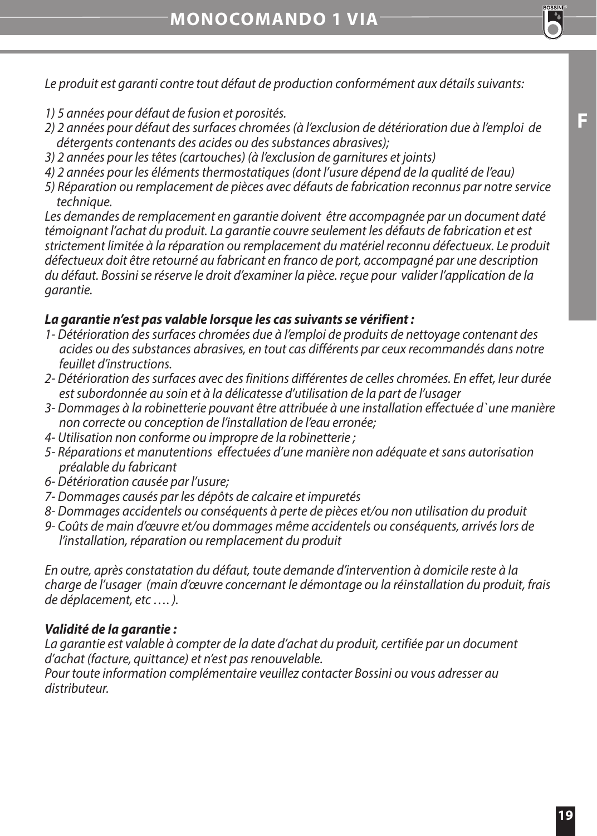*Le produit est garanti contre tout défaut de production conformément aux détails suivants:* 

- *1) 5 années pour défaut de fusion et porosités.*
- *2) 2 années pour défaut des surfaces chromées (à l'exclusion de détérioration due à l'emploi de détergents contenants des acides ou des substances abrasives);*
- *3) 2 années pour les têtes (cartouches) (à l'exclusion de garnitures et joints)*
- *4) 2 années pour les éléments thermostatiques (dont l'usure dépend de la qualité de l'eau)*
- *5) Réparation ou remplacement de pièces avec défauts de fabrication reconnus par notre service technique.*

*Les demandes de remplacement en garantie doivent être accompagnée par un document daté témoignant l'achat du produit. La garantie couvre seulement les défauts de fabrication et est strictement limitée à la réparation ou remplacement du matériel reconnu défectueux. Le produit défectueux doit être retourné au fabricant en franco de port, accompagné par une description du défaut. Bossini se réserve le droit d'examiner la pièce. reçue pour valider l'application de la garantie.*

#### *La garantie n'est pas valable lorsque les cas suivants se vérifient :*

- *1- Détérioration des surfaces chromées due à l'emploi de produits de nettoyage contenant des acides ou des substances abrasives, en tout cas différents par ceux recommandés dans notre feuillet d'instructions.*
- *2- Détérioration des surfaces avec des finitions différentes de celles chromées. En effet, leur durée est subordonnée au soin et à la délicatesse d'utilisation de la part de l'usager*
- *3- Dommages à la robinetterie pouvant être attribuée à une installation effectuée d`une manière non correcte ou conception de l'installation de l'eau erronée;*
- *4- Utilisation non conforme ou impropre de la robinetterie ;*
- *5- Réparations et manutentions effectuées d'une manière non adéquate et sans autorisation préalable du fabricant*
- *6- Détérioration causée par l'usure;*
- *7- Dommages causés par les dépôts de calcaire et impuretés*
- *8- Dommages accidentels ou conséquents à perte de pièces et/ou non utilisation du produit*
- *9- Coûts de main d'œuvre et/ou dommages même accidentels ou conséquents, arrivés lors de l'installation, réparation ou remplacement du produit*

*En outre, après constatation du défaut, toute demande d'intervention à domicile reste à la charge de l'usager (main d'œuvre concernant le démontage ou la réinstallation du produit, frais de déplacement, etc …. ).*

#### *Validité de la garantie :*

La garantie est valable à compter de la date d'achat du produit, certifiée par un document *d'achat (facture, quittance) et n'est pas renouvelable.*

*Pour toute information complémentaire veuillez contacter Bossini ou vous adresser au distributeur.*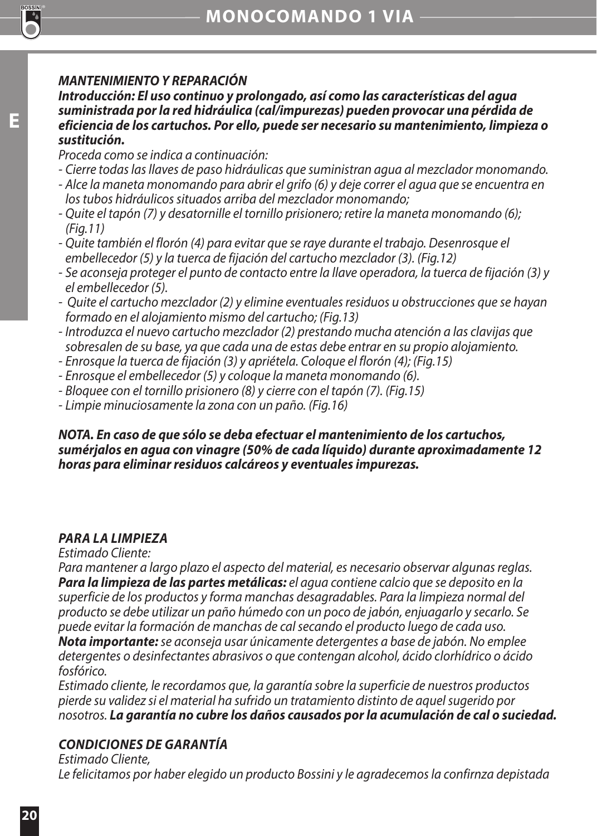## *MANTENIMIENTO Y REPARACIÓN*

*Introducción: El uso continuo y prolongado, así como las características del agua suministrada por la red hidráulica (cal/impurezas) pueden provocar una pérdida de eficiencia de los cartuchos. Por ello, puede ser necesario su mantenimiento, limpieza o sustitución.* 

*Proceda como se indica a continuación:*

- *Cierre todas las llaves de paso hidráulicas que suministran agua al mezclador monomando.*
- *Alce la maneta monomando para abrir el grifo (6) y deje correr el agua que se encuentra en los tubos hidráulicos situados arriba del mezclador monomando;*
- *Quite el tapón (7) y desatornille el tornillo prisionero; retire la maneta monomando (6); (Fig.11)*
- *Quite también el florón (4) para evitar que se raye durante el trabajo. Desenrosque el embellecedor (5) y la tuerca de fijación del cartucho mezclador (3). (Fig.12)*
- *Se aconseja proteger el punto de contacto entre la llave operadora, la tuerca de fijación (3) y el embellecedor (5).*
- *Quite el cartucho mezclador (2) y elimine eventuales residuos u obstrucciones que se hayan formado en el alojamiento mismo del cartucho; (Fig.13)*
- *Introduzca el nuevo cartucho mezclador (2) prestando mucha atención a las clavijas que sobresalen de su base, ya que cada una de estas debe entrar en su propio alojamiento.*
- *Enrosque la tuerca de fijación (3) y apriétela. Coloque el florón (4); (Fig.15)*
- *Enrosque el embellecedor (5) y coloque la maneta monomando (6).*
- *Bloquee con el tornillo prisionero (8) y cierre con el tapón (7). (Fig.15)*
- *Limpie minuciosamente la zona con un paño. (Fig.16)*

#### *NOTA. En caso de que sólo se deba efectuar el mantenimiento de los cartuchos, sumérjalos en agua con vinagre (50% de cada líquido) durante aproximadamente 12 horas para eliminar residuos calcáreos y eventuales impurezas.*

## *PARA LA LIMPIEZA*

*Estimado Cliente:*

*Para mantener a largo plazo el aspecto del material, es necesario observar algunas reglas. Para la limpieza de las partes metálicas: el agua contiene calcio que se deposito en la superficie de los productos y forma manchas desagradables. Para la limpieza normal del producto se debe utilizar un paño húmedo con un poco de jabón, enjuagarlo y secarlo. Se puede evitar la formación de manchas de cal secando el producto luego de cada uso.*

*Nota importante: se aconseja usar únicamente detergentes a base de jabón. No emplee detergentes o desinfectantes abrasivos o que contengan alcohol, ácido clorhídrico o ácido fosfórico.*

*Estimado cliente, le recordamos que, la garantía sobre la superficie de nuestros productos pierde su validez si el material ha sufrido un tratamiento distinto de aquel sugerido por nosotros. La garantía no cubre los daños causados por la acumulación de cal o suciedad.*

## *CONDICIONES DE GARANTÍA*

*Estimado Cliente, Le felicitamos por haber elegido un producto Bossini y le agradecemos la confirnza depistada*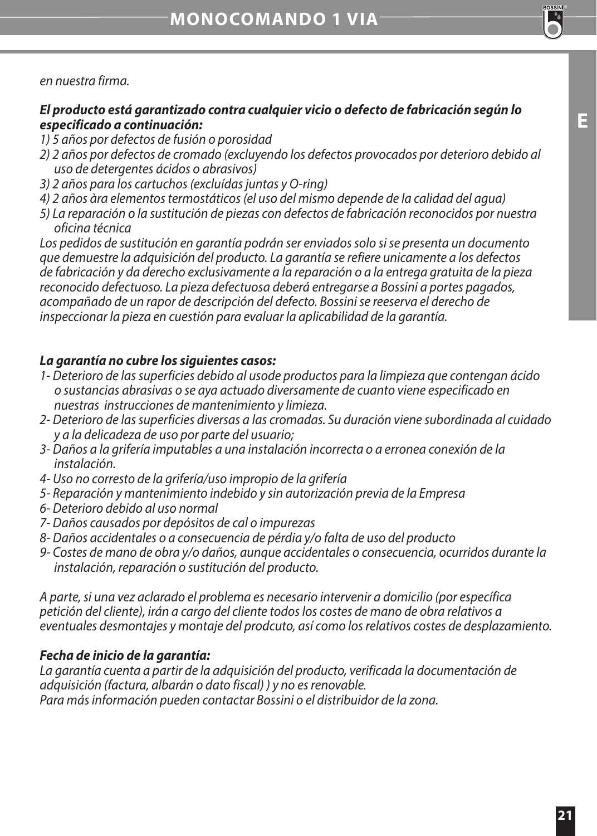*en nuestra firma.*

#### *El producto está garantizado contra cualquier vicio o defecto de fabricación según lo especificado a continuación:*

- *1) 5 años por defectos de fusión o porosidad*
- *2) 2 años por defectos de cromado (excluyendo los defectos provocados por deterioro debido al uso de detergentes ácidos o abrasivos)*
- *3) 2 años para los cartuchos (excluídas juntas y O-ring)*
- *4) 2 años àra elementos termostáticos (el uso del mismo depende de la calidad del agua)*
- *5) La reparación o la sustitución de piezas con defectos de fabricación reconocidos por nuestra oficina técnica*

*Los pedidos de sustitución en garantía podrán ser enviados solo si se presenta un documento que demuestre la adquisición del producto. La garantía se refiere unicamente a los defectos de fabricación y da derecho exclusivamente a la reparación o a la entrega gratuita de la pieza reconocido defectuoso. La pieza defectuosa deberá entregarse a Bossini a portes pagados, acompañado de un rapor de descripción del defecto. Bossini se reeserva el derecho de inspeccionar la pieza en cuestión para evaluar la aplicabilidad de la garantía.* 

#### *La garantía no cubre los siguientes casos:*

- *1- Deterioro de las superficies debido al usode productos para la limpieza que contengan ácido o sustancias abrasivas o se aya actuado diversamente de cuanto viene especificado en nuestras instrucciones de mantenimiento y limieza.*
- *2- Deterioro de las superficies diversas a las cromadas. Su duración viene subordinada al cuidado y a la delicadeza de uso por parte del usuario;*
- *3- Daños a la grifería imputables a una instalación incorrecta o a erronea conexión de la instalación.*
- *4- Uso no corresto de la grifería/uso impropio de la grifería*
- *5- Reparación y mantenimiento indebido y sin autorización previa de la Empresa*
- *6- Deterioro debido al uso normal*
- *7- Daños causados por depósitos de cal o impurezas*
- *8- Daños accidentales o a consecuencia de pérdia y/o falta de uso del producto*
- *9- Costes de mano de obra y/o daños, aunque accidentales o consecuencia, ocurridos durante la instalación, reparación o sustitución del producto.*

*A parte, si una vez aclarado el problema es necesario intervenir a domicilio (por específica petición del cliente), irán a cargo del cliente todos los costes de mano de obra relativos a eventuales desmontajes y montaje del prodcuto, así como los relativos costes de desplazamiento.*

#### *Fecha de inicio de la garantía:*

*La garantía cuenta a partir de la adquisición del producto, verificada la documentación de adquisición (factura, albarán o dato fiscal) ) y no es renovable. Para más información pueden contactar Bossini o el distribuidor de la zona.*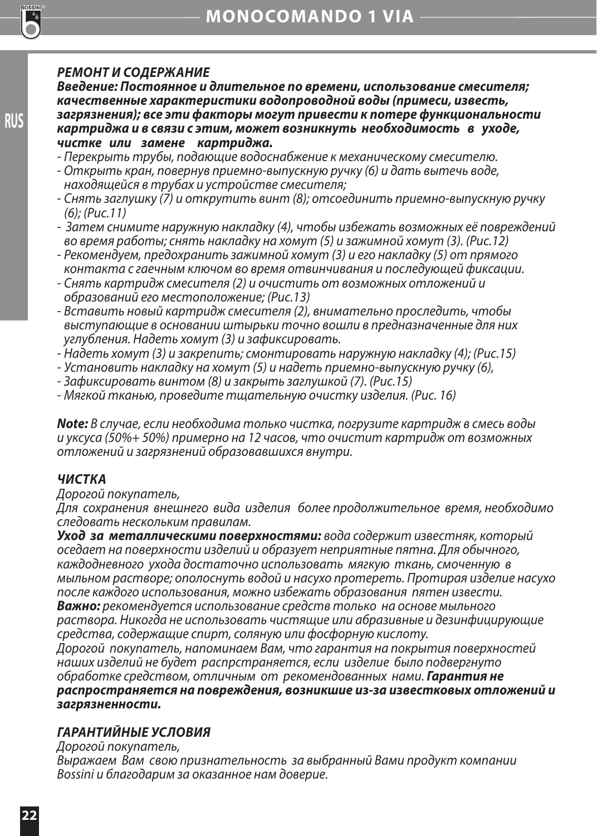**RUS**

#### *РЕМОНТ И СОДЕРЖАНИЕ*

*Введение: Постоянное и длительное по времени, использование смесителя; качественные характеристики водопроводной воды (примеси, известь, загрязнения); все эти факторы могут привести к потере функциональности картриджа и в связи с этим, может возникнуть необходимость в уходе, чистке или замене картриджа.* 

- *Перекрыть трубы, подающие водоснабжение к механическому смесителю.*
- *Открыть кран, повернув приемно-выпускную ручку (6) и дать вытечь воде, находящейся в трубах и устройстве смесителя;*
- *Снять заглушку (7) и открутить винт (8); отсоединить приемно-выпускную ручку (6); (Рис.11)*
- *Затем снимите наружную накладку (4), чтобы избежать возможных её повреждений во время работы; снять накладку на хомут (5) и зажимной хомут (3). (Рис.12)*
- *Рекомендуем, предохранить зажимной хомут (3) и его накладку (5) от прямого контакта с гаечным ключом во время отвинчивания и последующей фиксации.*
- *Снять картридж смесителя (2) и очистить от возможных отложений и образований его местоположение; (Рис.13)*
- *Вставить новый картридж смесителя (2), внимательно проследить, чтобы выступающие в основании штырьки точно вошли в предназначенные для них углубления. Надеть хомут (3) и зафиксировать.*
- *Надеть хомут (3) и закрепить; смонтировать наружную накладку (4); (Рис.15)*
- *Установить накладку на хомут (5) и надеть приемно-выпускную ручку (6),*
- *Зафиксировать винтом (8) и закрыть заглушкой (7). (Рис.15)*
- *Мягкой тканью, проведите тщательную очистку изделия. (Рис. 16)*

*Note: В случае, если необходима только чистка, погрузите картридж в смесь воды и уксуса (50%+ 50%) примерно на 12 часов, что очистит картридж от возможных отложений и загрязнений образовавшихся внутри.*

## *ЧИСТКА*

#### *Дорогой покупатель,*

*Для сохранения внешнего вида изделия более продолжительное время, необходимо следовать нескольким правилам.*

*Уход за металлическими поверхностями: вода содержит известняк, который оседает на поверхности изделий и образует неприятные пятна. Для обычного, каждодневного ухода достаточно использовать мягкую ткань, смоченную в мыльном растворе; ополоснуть водой и насухо протереть. Протирая изделие насухо после каждого использования, можно избежать образования пятен извести. Важно: рекомендуется использование средств только на основе мыльного раствора. Никогда не использовать чистящие или абразивные и дезинфицирующие средства, содержащие спирт, соляную или фосфорную кислоту.*

*Дорогой покупатель, напоминаем Вам, что гарантия на покрытия поверхностей наших изделий не будет распрстраняется, если изделие было подвергнуто обработке средством, отличным от рекомендованных нами. Гарантия не распространяется на повреждения, возникшие из-за известковых отложений и загрязненности.* 

## *ГАРАНТИЙНЫЕ УСЛОВИЯ*

*Дорогой покупатель,* 

*Выражаем Вам свою признательность за выбранный Вами продукт компании Bossini и благодарим за оказанное нам доверие.*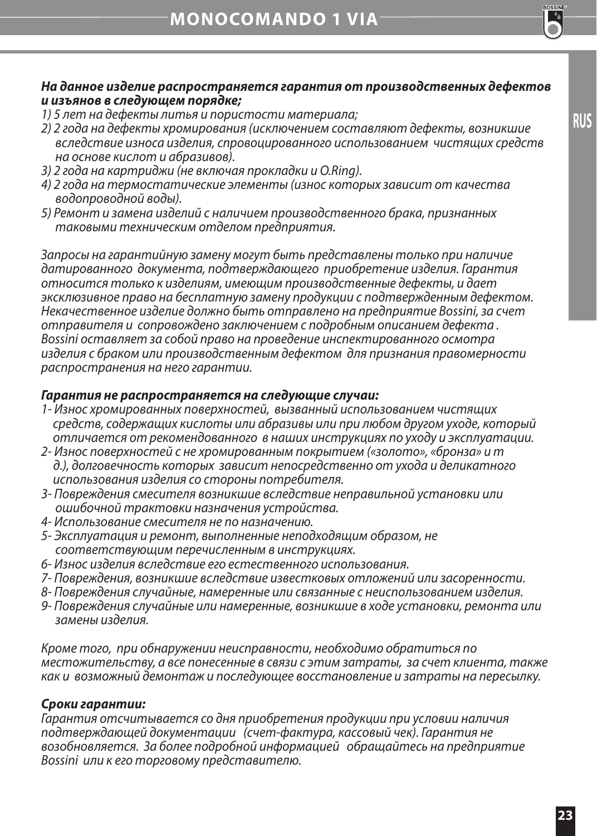

**RUS**

#### *На данное изделие распространяется гарантия от производственных дефектов и изъянов в следующем порядке;*

- 
- *1) 5 лет на дефекты литья и пористости материала; 2) 2 года на дефекты хромирования (исключением составляют дефекты, возникшие вследствие износа изделия, спровоцированного использованием чистящих средств на основе кислот и абразивов).*
- *3) 2 года на картриджи (не включая прокладки и O.Ring).*
- *4) 2 года на термостатические элементы (износ которых зависит от качества водопроводной воды).*
- *5) Ремонт и замена изделий с наличием производственного брака, признанных таковыми техническим отделом предприятия.*

*Запросы на гарантийную замену могут быть представлены только при наличие датированного документа, подтверждающего приобретение изделия. Гарантия относится только к изделиям, имеющим производственные дефекты, и дает эксклюзивное право на бесплатную замену продукции с подтвержденным дефектом. Некачественное изделие должно быть отправлено на предприятие Bossini, за счет отправителя и сопровождено заключением с подробным описанием дефекта . Bossini оставляет за собой право на проведение инспектированного осмотра изделия с браком или производственным дефектом для признания правомерности распространения на него гарантии.* 

#### *Гарантия не распространяется на следующие случаи:*

- *1- Износ хромированных поверхностей, вызванный использованием чистящих средств, содержащих кислоты или абразивы или при любом другом уходе, который отличается от рекомендованного в наших инструкциях по уходу и эксплуатации.*
- *2- Износ поверхностей с не хромированным покрытием («золото», «бронза» и т д.), долговечность которых зависит непосредственно от ухода и деликатного использования изделия со стороны потребителя.*
- *3- Повреждения смесителя возникшие вследствие неправильной установки или ошибочной трактовки назначения устройства.*
- *4- Использование смесителя не по назначению.*
- *5- Эксплуатация и ремонт, выполненные неподходящим образом, не соответствующим перечисленным в инструкциях.*
- *6- Износ изделия вследствие его естественного использования.*
- *7- Повреждения, возникшие вследствие известковых отложений или засоренности.*
- *8- Повреждения случайные, намеренные или связанные с неиспользованием изделия.*
- *9- Повреждения случайные или намеренные, возникшие в ходе установки, ремонта или замены изделия.*

*Кроме того, при обнаружении неисправности, необходимо обратиться по местожительству, а все понесенные в связи с этим затраты, за счет клиента, также как и возможный демонтаж и последующее восстановление и затраты на пересылку.* 

#### *Сроки гарантии:*

*Гарантия отсчитывается со дня приобретения продукции при условии наличия подтверждающей документации (счет-фактура, кассовый чек). Гарантия не возобновляется. За более подробной информацией обращайтесь на предприятие Bossini или к его торговому представителю.*